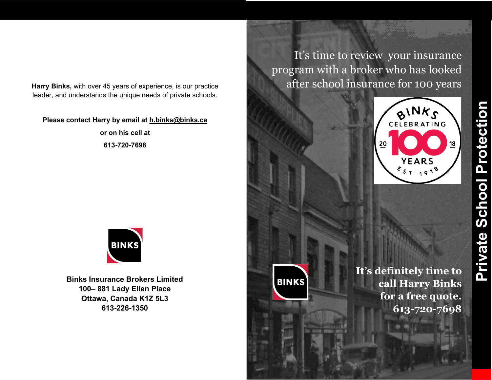**Harry Binks,** with over 45 years of experience, is our practice leader, and understands the unique needs of private schools.

## **Please contact Harry by email at h.binks@binks.ca**

**or on his cell at 613-720-7698**



**Binks Insurance Brokers Limited 100– 881 Lady Ellen Place Ottawa, Canada K1Z 5L3 613-226-1350**

It's time to review your insurance program with a broker who has looked after school insurance for 100 years



**BINKS** 

**It's definitely time to call Harry Binks for a free quote. 613-720-7698**